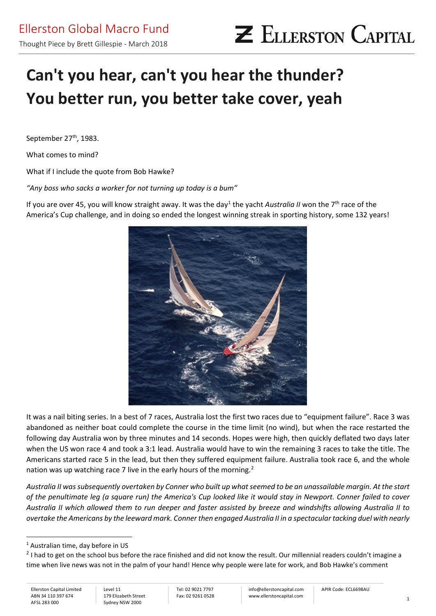# **Can't you hear, can't you hear the thunder? You better run, you better take cover, yeah**

September 27<sup>th</sup>, 1983.

What comes to mind?

What if I include the quote from Bob Hawke?

*"Any boss who sacks a worker for not turning up today is a bum"*

If you are over 45, you will know straight away. It was the day<sup>[1](#page-0-0)</sup> the yacht *Australia II* won the 7<sup>th</sup> race of the America's Cup challenge, and in doing so ended the longest winning streak in sporting history, some 132 years!



It was a nail biting series. In a best of 7 races, Australia lost the first two races due to "equipment failure". Race 3 was abandoned as neither boat could complete the course in the time limit (no wind), but when the race restarted the following day Australia won by three minutes and 14 seconds. Hopes were high, then quickly deflated two days later when the US won race 4 and took a 3:1 lead. Australia would have to win the remaining 3 races to take the title. The Americans started race 5 in the lead, but then they suffered equipment failure. Australia took race 6, and the whole nation was up watching race 7 live in the early hours of the morning.<sup>[2](#page-0-1)</sup>

*Australia II was subsequently overtaken by Conner who built up what seemed to be an unassailable margin. At the start of the penultimate leg (a square run) the America's Cup looked like it would stay in Newport. Conner failed to cover Australia II which allowed them to run deeper and faster assisted by breeze and windshifts allowing Australia II to overtake the Americans by the leeward mark. Conner then engaged Australia II in a spectacular tacking duel with nearly* 

<span id="page-0-0"></span><sup>&</sup>lt;sup>1</sup> Australian time, day before in US

<span id="page-0-1"></span> $<sup>2</sup>$  I had to get on the school bus before the race finished and did not know the result. Our millennial readers couldn't imagine a</sup> time when live news was not in the palm of your hand! Hence why people were late for work, and Bob Hawke's comment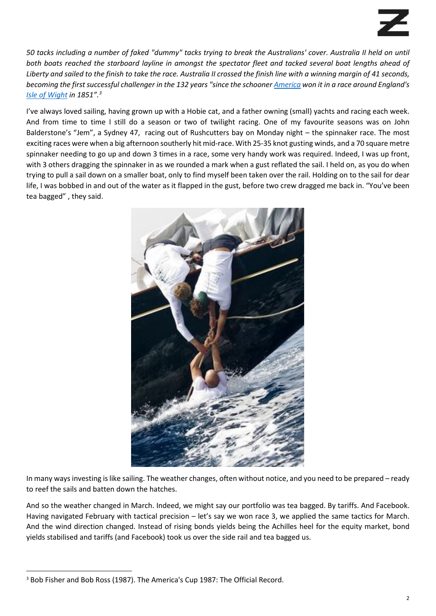*50 tacks including a number of faked "dummy" tacks trying to break the Australians' cover. Australia II held on until both boats reached the starboard layline in amongst the spectator fleet and tacked several boat lengths ahead of*  Liberty and sailed to the finish to take the race. Australia II crossed the finish line with a winning margin of 41 seconds, *becoming the first successful challenger in the 132 years "since the schooner [America](https://en.wikipedia.org/wiki/America_(yacht)) won it in a race around England's [Isle of Wight](https://en.wikipedia.org/wiki/Isle_of_Wight) in 1851"[.3](#page-1-0)*

I've always loved sailing, having grown up with a Hobie cat, and a father owning (small) yachts and racing each week. And from time to time I still do a season or two of twilight racing. One of my favourite seasons was on John Balderstone's "Jem", a Sydney 47, racing out of Rushcutters bay on Monday night – the spinnaker race. The most exciting races were when a big afternoon southerly hit mid-race. With 25-35 knot gusting winds, and a 70 square metre spinnaker needing to go up and down 3 times in a race, some very handy work was required. Indeed, I was up front, with 3 others dragging the spinnaker in as we rounded a mark when a gust reflated the sail. I held on, as you do when trying to pull a sail down on a smaller boat, only to find myself been taken over the rail. Holding on to the sail for dear life, I was bobbed in and out of the water as it flapped in the gust, before two crew dragged me back in. "You've been tea bagged" , they said.



In many ways investing islike sailing. The weather changes, often without notice, and you need to be prepared – ready to reef the sails and batten down the hatches.

And so the weather changed in March. Indeed, we might say our portfolio was tea bagged. By tariffs. And Facebook. Having navigated February with tactical precision – let's say we won race 3, we applied the same tactics for March. And the wind direction changed. Instead of rising bonds yields being the Achilles heel for the equity market, bond yields stabilised and tariffs (and Facebook) took us over the side rail and tea bagged us.

<span id="page-1-0"></span><sup>&</sup>lt;sup>3</sup> Bob Fisher and Bob Ross (1987). The America's Cup 1987: The Official Record.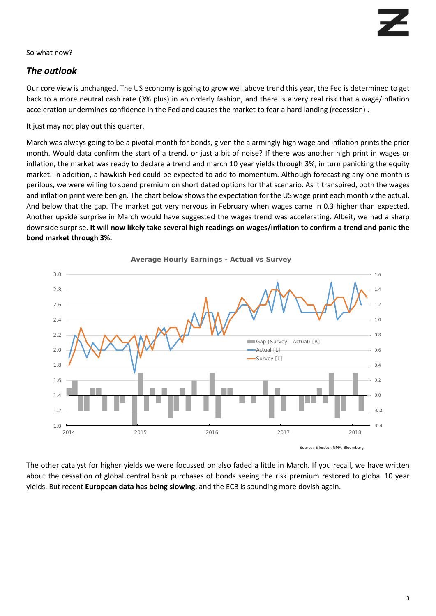So what now?

## *The outlook*

Our core view is unchanged. The US economy is going to grow well above trend this year, the Fed is determined to get back to a more neutral cash rate (3% plus) in an orderly fashion, and there is a very real risk that a wage/inflation acceleration undermines confidence in the Fed and causes the market to fear a hard landing (recession) .

It just may not play out this quarter.

March was always going to be a pivotal month for bonds, given the alarmingly high wage and inflation prints the prior month. Would data confirm the start of a trend, or just a bit of noise? If there was another high print in wages or inflation, the market was ready to declare a trend and march 10 year yields through 3%, in turn panicking the equity market. In addition, a hawkish Fed could be expected to add to momentum. Although forecasting any one month is perilous, we were willing to spend premium on short dated options for that scenario. As it transpired, both the wages and inflation print were benign. The chart below shows the expectation for the US wage print each month v the actual. And below that the gap. The market got very nervous in February when wages came in 0.3 higher than expected. Another upside surprise in March would have suggested the wages trend was accelerating. Albeit, we had a sharp downside surprise. **It will now likely take several high readings on wages/inflation to confirm a trend and panic the bond market through 3%.** 



**Average Hourly Earnings - Actual vs Survey**

The other catalyst for higher yields we were focussed on also faded a little in March. If you recall, we have written about the cessation of global central bank purchases of bonds seeing the risk premium restored to global 10 year yields. But recent **European data has being slowing**, and the ECB is sounding more dovish again.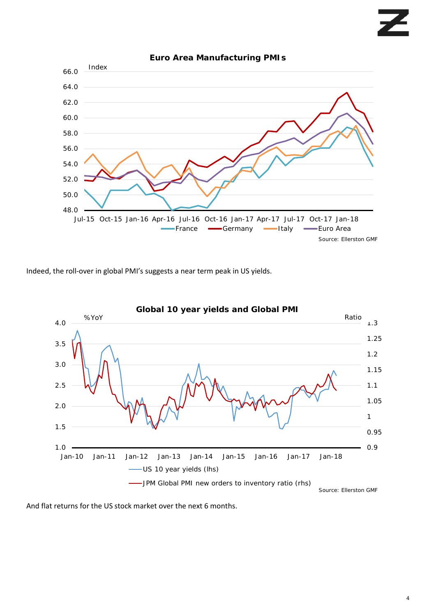

Indeed, the roll-over in global PMI's suggests a near term peak in US yields.



And flat returns for the US stock market over the next 6 months.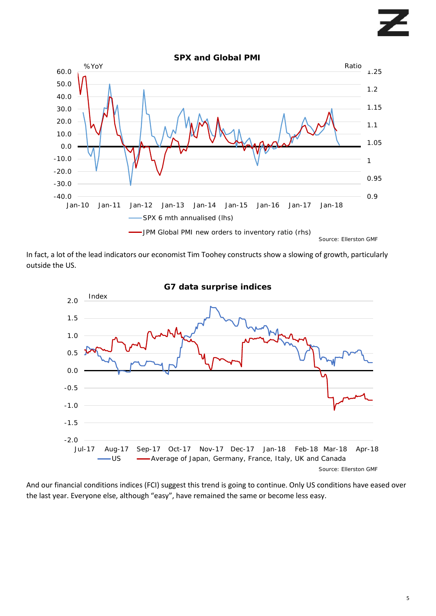

In fact, a lot of the lead indicators our economist Tim Toohey constructs show a slowing of growth, particularly outside the US.



And our financial conditions indices (FCI) suggest this trend is going to continue. Only US conditions have eased over the last year. Everyone else, although "easy", have remained the same or become less easy.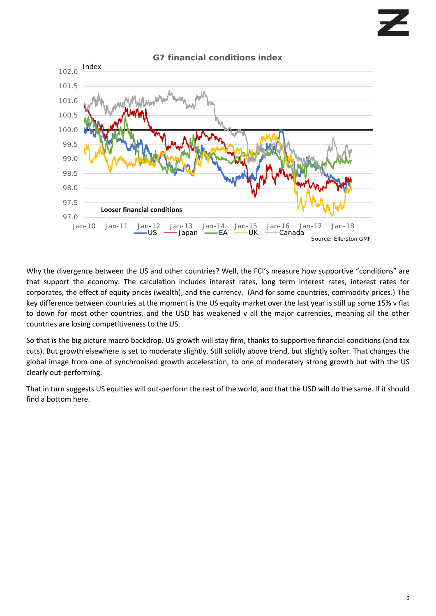

Why the divergence between the US and other countries? Well, the FCI's measure how supportive "conditions" are that support the economy. The calculation includes interest rates, long term interest rates, interest rates for corporates, the effect of equity prices (wealth), and the currency. (And for some countries, commodity prices.) The key difference between countries at the moment is the US equity market over the last year is still up some 15% v flat to down for most other countries, and the USD has weakened v all the major currencies, meaning all the other countries are losing competitiveness to the US.

So that is the big picture macro backdrop. US growth will stay firm, thanks to supportive financial conditions (and tax cuts). But growth elsewhere is set to moderate slightly. Still solidly above trend, but slightly softer. That changes the global image from one of synchronised growth acceleration, to one of moderately strong growth but with the US clearly out-performing.

That in turn suggests US equities will out-perform the rest of the world, and that the USD will do the same. If it should find a bottom here.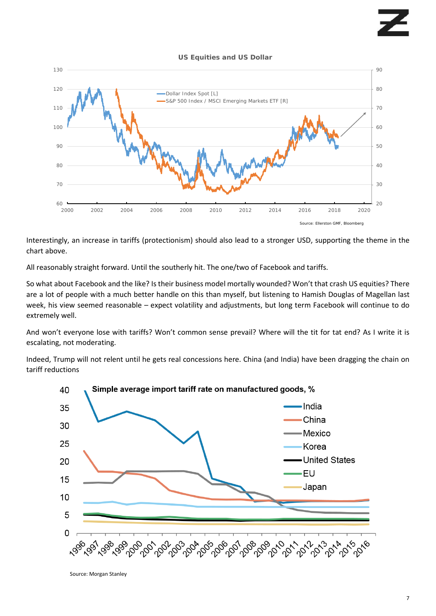#### **US Equities and US Dollar**



Interestingly, an increase in tariffs (protectionism) should also lead to a stronger USD, supporting the theme in the chart above.

All reasonably straight forward. Until the southerly hit. The one/two of Facebook and tariffs.

So what about Facebook and the like? Is their business model mortally wounded? Won't that crash US equities? There are a lot of people with a much better handle on this than myself, but listening to Hamish Douglas of Magellan last week, his view seemed reasonable – expect volatility and adjustments, but long term Facebook will continue to do extremely well.

And won't everyone lose with tariffs? Won't common sense prevail? Where will the tit for tat end? As I write it is escalating, not moderating.

Indeed, Trump will not relent until he gets real concessions here. China (and India) have been dragging the chain on tariff reductions



Source: Morgan Stanley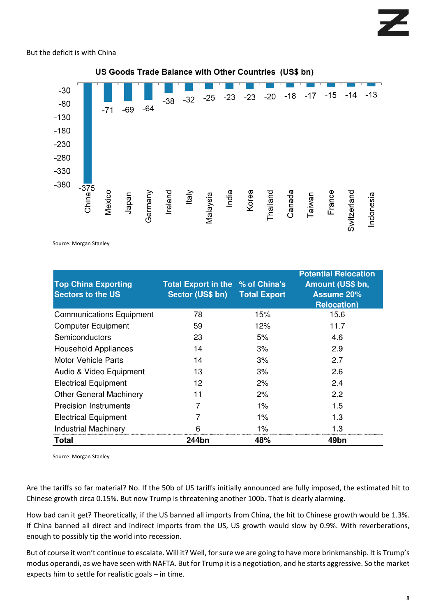## But the deficit is with China



Source: Morgan Stanley

| <b>Top China Exporting</b><br><b>Sectors to the US</b> | Total Export in the % of China's<br>Sector (US\$ bn) Total Export |       | <b>Potential Relocation</b><br>Amount (US\$ bn,<br><b>Assume 20%</b><br><b>Relocation</b> ) |
|--------------------------------------------------------|-------------------------------------------------------------------|-------|---------------------------------------------------------------------------------------------|
| <b>Communications Equipment</b>                        | 78                                                                | 15%   | 15.6                                                                                        |
| <b>Computer Equipment</b>                              | 59                                                                | 12%   | 11.7                                                                                        |
| Semiconductors                                         | 23                                                                | 5%    | 4.6                                                                                         |
| <b>Household Appliances</b>                            | 14                                                                | 3%    | 2.9                                                                                         |
| Motor Vehicle Parts                                    | 14                                                                | 3%    | 2.7                                                                                         |
| Audio & Video Equipment                                | 13                                                                | 3%    | 2.6                                                                                         |
| <b>Electrical Equipment</b>                            | 12                                                                | 2%    | 2.4                                                                                         |
| <b>Other General Machinery</b>                         | 11                                                                | 2%    | 2.2                                                                                         |
| <b>Precision Instruments</b>                           |                                                                   | $1\%$ | 1.5                                                                                         |
| <b>Electrical Equipment</b>                            |                                                                   | $1\%$ | 1.3                                                                                         |
| <b>Industrial Machinery</b>                            | հ                                                                 | $1\%$ | 1.3                                                                                         |
| Total                                                  | 244bn                                                             | 48%   | 49bn                                                                                        |

Source: Morgan Stanley

Are the tariffs so far material? No. If the 50b of US tariffs initially announced are fully imposed, the estimated hit to Chinese growth circa 0.15%. But now Trump is threatening another 100b. That is clearly alarming.

How bad can it get? Theoretically, if the US banned all imports from China, the hit to Chinese growth would be 1.3%. If China banned all direct and indirect imports from the US, US growth would slow by 0.9%. With reverberations, enough to possibly tip the world into recession.

But of course it won't continue to escalate. Will it? Well, for sure we are going to have more brinkmanship. It is Trump's modus operandi, as we have seen with NAFTA. But for Trump it is a negotiation, and he starts aggressive. So the market expects him to settle for realistic goals – in time.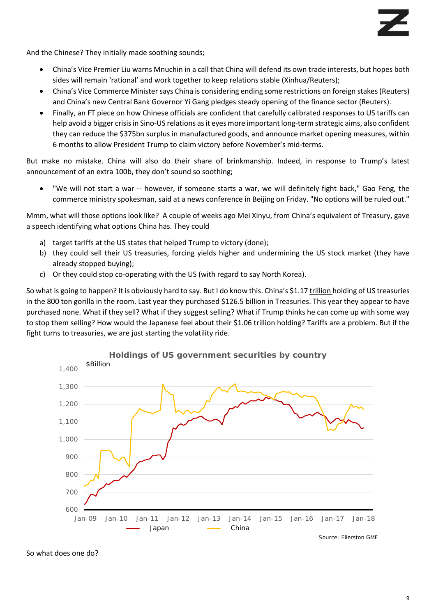And the Chinese? They initially made soothing sounds;

- China's Vice Premier Liu warns Mnuchin in a call that China will defend its own trade interests, but hopes both sides will remain 'rational' and work together to keep relations stable (Xinhua/Reuters);
- China's Vice Commerce Minister says China is considering ending some restrictions on foreign stakes (Reuters) and China's new Central Bank Governor Yi Gang pledges steady opening of the finance sector (Reuters).
- Finally, an FT piece on how Chinese officials are confident that carefully calibrated responses to US tariffs can help avoid a bigger crisis in Sino-US relations as it eyes more important long-term strategic aims, also confident they can reduce the \$375bn surplus in manufactured goods, and announce market opening measures, within 6 months to allow President Trump to claim victory before November's mid-terms.

But make no mistake. China will also do their share of brinkmanship. Indeed, in response to Trump's latest announcement of an extra 100b, they don't sound so soothing;

"We will not start a war -- however, if someone starts a war, we will definitely fight back," Gao Feng, the commerce ministry spokesman, said at a news conference in Beijing on Friday. "No options will be ruled out."

Mmm, what will those options look like? A couple of weeks ago Mei Xinyu, from China's equivalent of Treasury, gave a speech identifying what options China has. They could

- a) target tariffs at the US states that helped Trump to victory (done);
- b) they could sell their US treasuries, forcing yields higher and undermining the US stock market (they have already stopped buying);
- c) Or they could stop co-operating with the US (with regard to say North Korea).

So what is going to happen? It is obviously hard to say. But I do know this. China's \$1.17 trillion holding of US treasuries in the 800 ton gorilla in the room. Last year they purchased \$126.5 billion in Treasuries. This year they appear to have purchased none. What if they sell? What if they suggest selling? What if Trump thinks he can come up with some way to stop them selling? How would the Japanese feel about their \$1.06 trillion holding? Tariffs are a problem. But if the fight turns to treasuries, we are just starting the volatility ride.



So what does one do?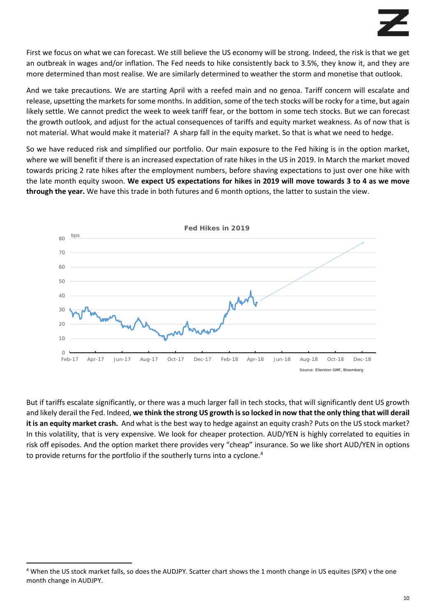First we focus on what we can forecast. We still believe the US economy will be strong. Indeed, the risk is that we get an outbreak in wages and/or inflation. The Fed needs to hike consistently back to 3.5%, they know it, and they are more determined than most realise. We are similarly determined to weather the storm and monetise that outlook.

And we take precautions. We are starting April with a reefed main and no genoa. Tariff concern will escalate and release, upsetting the markets for some months. In addition, some of the tech stocks will be rocky for a time, but again likely settle. We cannot predict the week to week tariff fear, or the bottom in some tech stocks. But we can forecast the growth outlook, and adjust for the actual consequences of tariffs and equity market weakness. As of now that is not material. What would make it material? A sharp fall in the equity market. So that is what we need to hedge.

So we have reduced risk and simplified our portfolio. Our main exposure to the Fed hiking is in the option market, where we will benefit if there is an increased expectation of rate hikes in the US in 2019. In March the market moved towards pricing 2 rate hikes after the employment numbers, before shaving expectations to just over one hike with the late month equity swoon. **We expect US expectations for hikes in 2019 will move towards 3 to 4 as we move through the year.** We have this trade in both futures and 6 month options, the latter to sustain the view.



But if tariffs escalate significantly, or there was a much larger fall in tech stocks, that will significantly dent US growth and likely derail the Fed. Indeed, **we think the strong US growth is so locked in now that the only thing that will derail it is an equity market crash.** And what is the best way to hedge against an equity crash? Puts on the US stock market? In this volatility, that is very expensive. We look for cheaper protection. AUD/YEN is highly correlated to equities in risk off episodes. And the option market there provides very "cheap" insurance. So we like short AUD/YEN in options to provide returns for the portfolio if the southerly turns into a cyclone.<sup>[4](#page-9-0)</sup>

<span id="page-9-0"></span><sup>&</sup>lt;sup>4</sup> When the US stock market falls, so does the AUDJPY. Scatter chart shows the 1 month change in US equites (SPX) v the one month change in AUDJPY.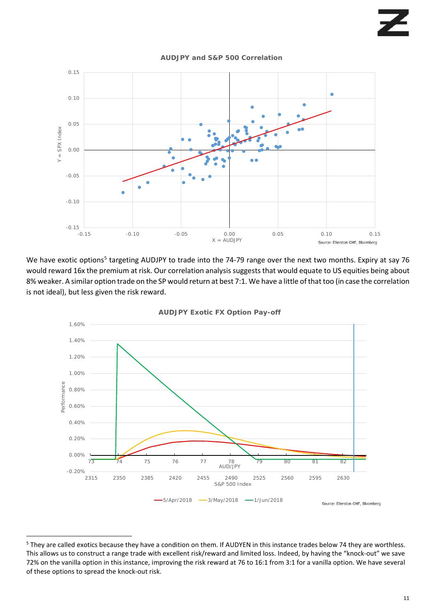

**AUDJPY and S&P 500 Correlation**

We have exotic options<sup>[5](#page-10-0)</sup> targeting AUDJPY to trade into the 74-79 range over the next two months. Expiry at say 76 would reward 16x the premium at risk. Our correlation analysis suggests that would equate to US equities being about 8% weaker. A similar option trade on the SP would return at best 7:1. We have a little of that too (in case the correlation is not ideal), but less given the risk reward.



### **AUDJPY Exotic FX Option Pay-off**

<span id="page-10-0"></span> <sup>5</sup> They are called exotics because they have a condition on them. If AUDYEN in this instance trades below 74 they are worthless. This allows us to construct a range trade with excellent risk/reward and limited loss. Indeed, by having the "knock-out" we save 72% on the vanilla option in this instance, improving the risk reward at 76 to 16:1 from 3:1 for a vanilla option. We have several of these options to spread the knock-out risk.